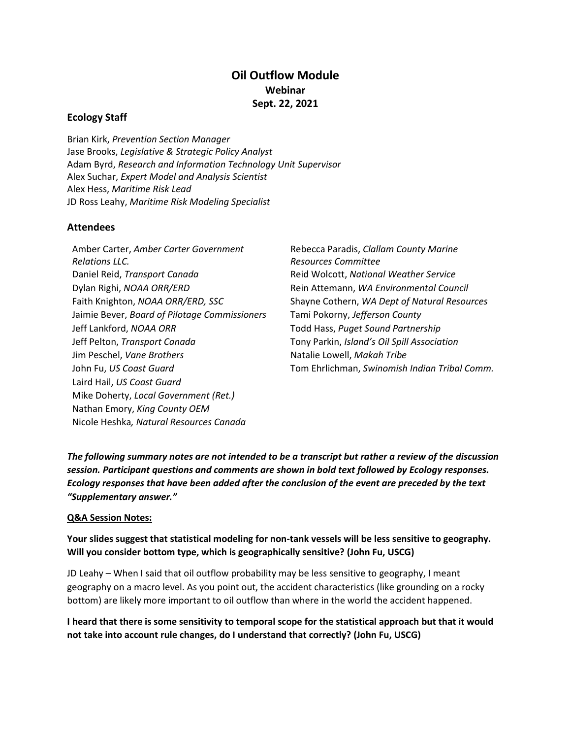## **Oil Outflow Module Webinar Sept. 22, 2021**

## **Ecology Staff**

Brian Kirk, *Prevention Section Manager* Jase Brooks, *Legislative & Strategic Policy Analyst* Adam Byrd, *Research and Information Technology Unit Supervisor* Alex Suchar, *Expert Model and Analysis Scientist* Alex Hess, *Maritime Risk Lead* JD Ross Leahy, *Maritime Risk Modeling Specialist*

## **Attendees**

Amber Carter, *Amber Carter Government Relations LLC.* Daniel Reid, *Transport Canada* Reid Wolcott, *National Weather Service* Dylan Righi, *NOAA ORR/ERD* Rein Attemann, *WA Environmental Council* Jaimie Bever, *Board of Pilotage Commissioners* Tami Pokorny, *Jefferson County* Jeff Lankford, *NOAA ORR* Todd Hass, *Puget Sound Partnership* Jeff Pelton, *Transport Canada* Tony Parkin, *Island's Oil Spill Association* Jim Peschel, *Vane Brothers* Natalie Lowell, *Makah Tribe* Laird Hail, *US Coast Guard* Mike Doherty, *Local Government (Ret.)* Nathan Emory, *King County OEM* Nicole Heshka*, Natural Resources Canada*

Rebecca Paradis, *Clallam County Marine Resources Committee* Faith Knighton, *NOAA ORR/ERD, SSC* Shayne Cothern, *WA Dept of Natural Resources* John Fu, *US Coast Guard* Tom Ehrlichman, *Swinomish Indian Tribal Comm.*

*The following summary notes are not intended to be a transcript but rather a review of the discussion session. Participant questions and comments are shown in bold text followed by Ecology responses. Ecology responses that have been added after the conclusion of the event are preceded by the text "Supplementary answer."*

## **Q&A Session Notes:**

**Your slides suggest that statistical modeling for non-tank vessels will be less sensitive to geography. Will you consider bottom type, which is geographically sensitive? (John Fu, USCG)**

JD Leahy – When I said that oil outflow probability may be less sensitive to geography, I meant geography on a macro level. As you point out, the accident characteristics (like grounding on a rocky bottom) are likely more important to oil outflow than where in the world the accident happened.

**I heard that there is some sensitivity to temporal scope for the statistical approach but that it would not take into account rule changes, do I understand that correctly? (John Fu, USCG)**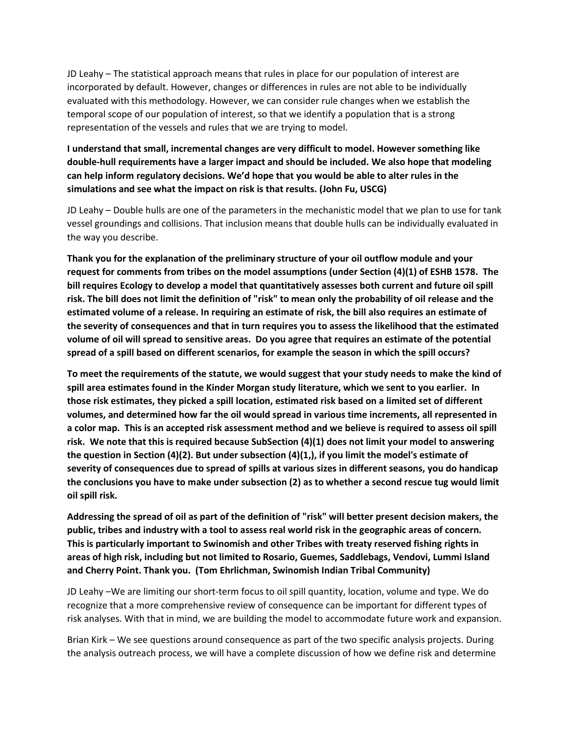JD Leahy – The statistical approach means that rules in place for our population of interest are incorporated by default. However, changes or differences in rules are not able to be individually evaluated with this methodology. However, we can consider rule changes when we establish the temporal scope of our population of interest, so that we identify a population that is a strong representation of the vessels and rules that we are trying to model.

**I understand that small, incremental changes are very difficult to model. However something like double-hull requirements have a larger impact and should be included. We also hope that modeling can help inform regulatory decisions. We'd hope that you would be able to alter rules in the simulations and see what the impact on risk is that results. (John Fu, USCG)**

JD Leahy – Double hulls are one of the parameters in the mechanistic model that we plan to use for tank vessel groundings and collisions. That inclusion means that double hulls can be individually evaluated in the way you describe.

**Thank you for the explanation of the preliminary structure of your oil outflow module and your request for comments from tribes on the model assumptions (under Section (4)(1) of ESHB 1578. The bill requires Ecology to develop a model that quantitatively assesses both current and future oil spill risk. The bill does not limit the definition of "risk" to mean only the probability of oil release and the estimated volume of a release. In requiring an estimate of risk, the bill also requires an estimate of the severity of consequences and that in turn requires you to assess the likelihood that the estimated volume of oil will spread to sensitive areas. Do you agree that requires an estimate of the potential spread of a spill based on different scenarios, for example the season in which the spill occurs?** 

**To meet the requirements of the statute, we would suggest that your study needs to make the kind of spill area estimates found in the Kinder Morgan study literature, which we sent to you earlier. In those risk estimates, they picked a spill location, estimated risk based on a limited set of different volumes, and determined how far the oil would spread in various time increments, all represented in a color map. This is an accepted risk assessment method and we believe is required to assess oil spill risk. We note that this is required because SubSection (4)(1) does not limit your model to answering the question in Section (4)(2). But under subsection (4)(1,), if you limit the model's estimate of severity of consequences due to spread of spills at various sizes in different seasons, you do handicap the conclusions you have to make under subsection (2) as to whether a second rescue tug would limit oil spill risk.** 

**Addressing the spread of oil as part of the definition of "risk" will better present decision makers, the public, tribes and industry with a tool to assess real world risk in the geographic areas of concern. This is particularly important to Swinomish and other Tribes with treaty reserved fishing rights in areas of high risk, including but not limited to Rosario, Guemes, Saddlebags, Vendovi, Lummi Island and Cherry Point. Thank you. (Tom Ehrlichman, Swinomish Indian Tribal Community)** 

JD Leahy –We are limiting our short-term focus to oil spill quantity, location, volume and type. We do recognize that a more comprehensive review of consequence can be important for different types of risk analyses. With that in mind, we are building the model to accommodate future work and expansion.

Brian Kirk – We see questions around consequence as part of the two specific analysis projects. During the analysis outreach process, we will have a complete discussion of how we define risk and determine